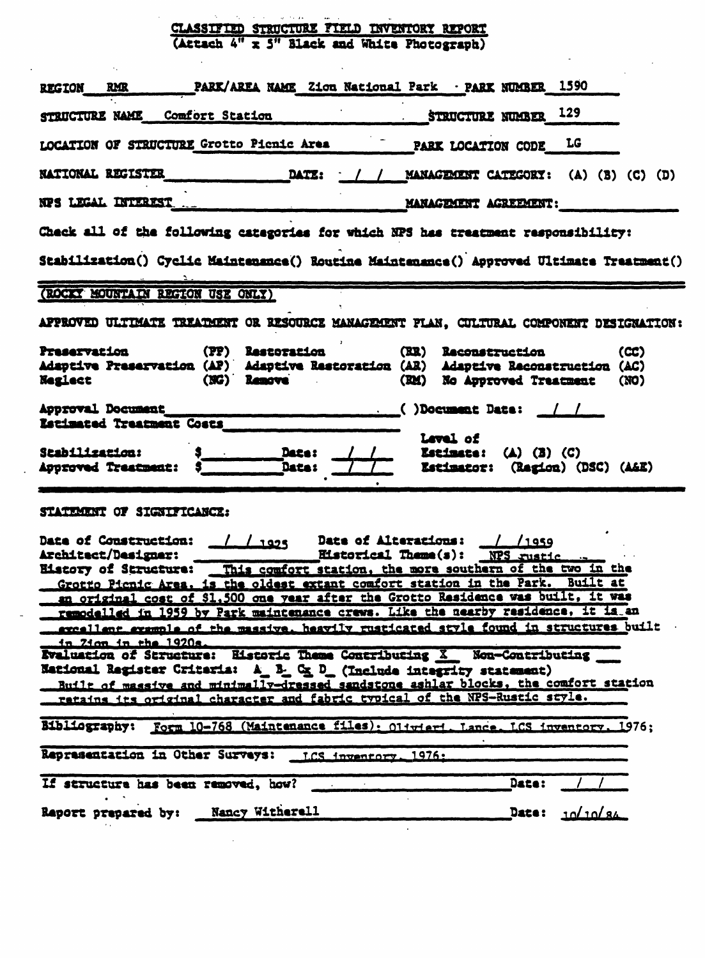## CLASSIFIED STRUCTURE FIELD INVENTORY REPORT<br>(Attach 4" x 5" Black and White Photograph)

 $\mathcal{A}_1$ 

 $\ddot{\phantom{a}}$ 

| PARK/AREA NAME Zion National Park · PARK NUMBER 1590<br><b>RMR</b><br><b>REGION</b>                                                                                                                                                                                                                                                                                                                                                                                                                                                                          |                                                                                   |  |  |  |
|--------------------------------------------------------------------------------------------------------------------------------------------------------------------------------------------------------------------------------------------------------------------------------------------------------------------------------------------------------------------------------------------------------------------------------------------------------------------------------------------------------------------------------------------------------------|-----------------------------------------------------------------------------------|--|--|--|
| STRUCTURE NAME Comfort Station                                                                                                                                                                                                                                                                                                                                                                                                                                                                                                                               | STRUCTURE NUMBER $129$                                                            |  |  |  |
| LOCATION OF STRUCTURE Grotto Pienic Area                                                                                                                                                                                                                                                                                                                                                                                                                                                                                                                     | PARK LOCATION CODE LG                                                             |  |  |  |
| <b>DATE:</b><br><b>NATIONAL REGISTER</b>                                                                                                                                                                                                                                                                                                                                                                                                                                                                                                                     | / / MANAGEMENT CATEGORY: (A) (B) (C) (D)                                          |  |  |  |
| NPS LEGAL INTEREST                                                                                                                                                                                                                                                                                                                                                                                                                                                                                                                                           | MANAGEMENT AGREEMENT:                                                             |  |  |  |
| Check all of the following categories for which NPS has treatment responsibility:                                                                                                                                                                                                                                                                                                                                                                                                                                                                            |                                                                                   |  |  |  |
| Stabilization() Cyclic Maintenance() Routine Maintenance() Approved Ultimate Treatment()                                                                                                                                                                                                                                                                                                                                                                                                                                                                     |                                                                                   |  |  |  |
| (ROCKY MOUNTAIN REGION USE ONLY)                                                                                                                                                                                                                                                                                                                                                                                                                                                                                                                             |                                                                                   |  |  |  |
| APPROVED ULTIMATE TREATMENT OR RESOURCE MANAGEMENT PLAN, CULTURAL COMPONENT DESIGNATION:                                                                                                                                                                                                                                                                                                                                                                                                                                                                     |                                                                                   |  |  |  |
| <b>Preservation</b><br><b>(PP) Restoration</b><br>Adaptive Preservation (AP) Adaptive Restoration (AR) Adaptive Reconstruction (AC)<br>(NG) Remove<br><b>Neglect</b>                                                                                                                                                                                                                                                                                                                                                                                         | (RR) Reconstruction<br>(CC)<br>(RM) No Approved Treatment<br>(NO)                 |  |  |  |
| Approval Document<br>Estimated Treatment Costs                                                                                                                                                                                                                                                                                                                                                                                                                                                                                                               | $\frac{1}{2}$ ()Document Date: $\frac{1}{2}$                                      |  |  |  |
| <b>Date:</b><br><b>Stabilization:</b><br><b>Data:</b><br><b>Approved Treatment:</b>                                                                                                                                                                                                                                                                                                                                                                                                                                                                          | Level of<br><b>Estimate:</b> $(A)$ $(B)$ $(C)$<br>Estimator: (Ragion) (DSC) (A&E) |  |  |  |
| STATEMENT OF SIGNIFICANCE:                                                                                                                                                                                                                                                                                                                                                                                                                                                                                                                                   |                                                                                   |  |  |  |
| Date of Alterations: / /1959<br>Date of Construction: 11025<br>Eistorical Theme(s): NPS rustic<br>Architect/Designer:<br>History of Structure: This comfort station, the more southern of the two in the<br>Grotto Pienic Area. is the oldest extant comfort station in the Park. Built at<br>an original cost of \$1,500 one year after the Grotto Residence was built, it was<br>remodelled in 1959 by Park maintenance crews. Like the nearby residence, it is an<br>excellent example of the massive, heavily rusticated style found in structures built |                                                                                   |  |  |  |
| in 21cm in the 1920s.<br>Evaluation of Structure: Historic Theme Contributing X Non-Contributing<br><b>National Register Criteria:</b> A_ B_ C <u>x</u> D_ (Include integrity statement)<br>Built of massive and minimally-dressed sandstone ashlar blocks, the comfort station<br>retains its original character and fabric typical of the NPS-Rustic style.                                                                                                                                                                                                |                                                                                   |  |  |  |
| Bibliography: Form 10-768 (Maintenance files): Oliviari, Lance, LCS inventory, 1976;                                                                                                                                                                                                                                                                                                                                                                                                                                                                         |                                                                                   |  |  |  |
| Representation in Other Surveys: LCS inventory. 1976:                                                                                                                                                                                                                                                                                                                                                                                                                                                                                                        |                                                                                   |  |  |  |
| If structure has been removed, how?                                                                                                                                                                                                                                                                                                                                                                                                                                                                                                                          | Date:                                                                             |  |  |  |
| Raport prepared by: Nancy Witherell                                                                                                                                                                                                                                                                                                                                                                                                                                                                                                                          | 10/10/84<br>Date:                                                                 |  |  |  |

 $\sim 10^{11}$ 

 $\frac{1}{2}$  ,  $\frac{1}{2}$  ,  $\frac{1}{2}$  ,  $\frac{1}{2}$